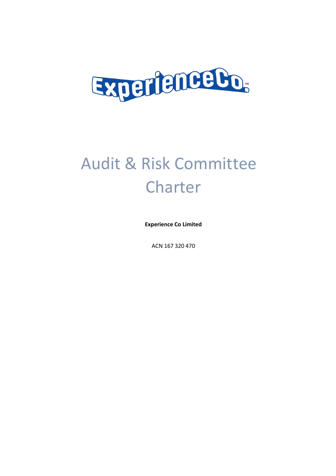

# Audit & Risk Committee **Charter**

**Experience Co Limited**

ACN 167 320 470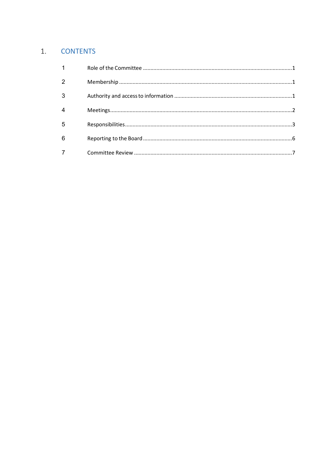# 1. CONTENTS

| 1 |  |
|---|--|
| 2 |  |
| 3 |  |
|   |  |
| 5 |  |
| 6 |  |
|   |  |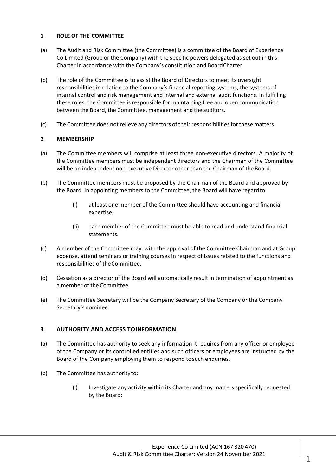## **1 ROLE OF THE COMMITTEE**

- (a) The Audit and Risk Committee (the Committee) is a committee of the Board of Experience Co Limited (Group or the Company) with the specific powers delegated as set out in this Charter in accordance with the Company's constitution and BoardCharter.
- (b) The role of the Committee is to assist the Board of Directors to meet its oversight responsibilities in relation to the Company's financial reporting systems, the systems of internal control and risk management and internal and external audit functions. In fulfilling these roles, the Committee is responsible for maintaining free and open communication between the Board, the Committee, management and the auditors.
- (c) The Committee does not relieve any directors of theirresponsibilitiesforthese matters.

# **2 MEMBERSHIP**

- (a) The Committee members will comprise at least three non-executive directors. A majority of the Committee members must be independent directors and the Chairman of the Committee will be an independent non-executive Director other than the Chairman of the Board.
- (b) The Committee members must be proposed by the Chairman of the Board and approved by the Board. In appointing members to the Committee, the Board will have regardto:
	- (i) at least one member of the Committee should have accounting and financial expertise;
	- (ii) each member of the Committee must be able to read and understand financial statements.
- (c) A member of the Committee may, with the approval of the Committee Chairman and at Group expense, attend seminars or training courses in respect of issues related to the functions and responsibilities of theCommittee.
- (d) Cessation as a director of the Board will automatically result in termination of appointment as a member of the Committee.
- (e) The Committee Secretary will be the Company Secretary of the Company or the Company Secretary's nominee.

## **3 AUTHORITY AND ACCESS TOINFORMATION**

- (a) The Committee has authority to seek any information it requires from any officer or employee of the Company or its controlled entities and such officers or employees are instructed by the Board of the Company employing them to respond tosuch enquiries.
- (b) The Committee has authority to:
	- (i) Investigate any activity within its Charter and any matters specifically requested by the Board;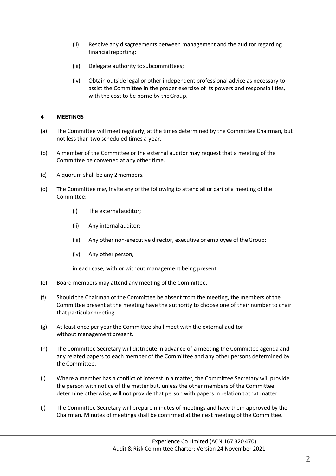- (ii) Resolve any disagreements between management and the auditor regarding financial reporting;
- (iii) Delegate authority tosubcommittees;
- (iv) Obtain outside legal or other independent professional advice as necessary to assist the Committee in the proper exercise of its powers and responsibilities, with the cost to be borne by theGroup.

#### **4 MEETINGS**

- (a) The Committee will meet regularly, at the times determined by the Committee Chairman, but not less than two scheduled times a year.
- (b) A member of the Committee or the external auditor may request that a meeting of the Committee be convened at any other time.
- (c) A quorum shall be any 2members.
- (d) The Committee may invite any of the following to attend all or part of a meeting of the Committee:
	- (i) The external auditor;
	- (ii) Any internal auditor;
	- (iii) Any other non-executive director, executive or employee of theGroup;
	- (iv) Any other person,

in each case, with or without management being present.

- (e) Board members may attend any meeting of the Committee.
- (f) Should the Chairman of the Committee be absent from the meeting, the members of the Committee present at the meeting have the authority to choose one of their number to chair that particular meeting.
- (g) At least once per year the Committee shall meet with the external auditor without management present.
- (h) The Committee Secretary will distribute in advance of a meeting the Committee agenda and any related papers to each member of the Committee and any other persons determined by the Committee.
- (i) Where a member has a conflict of interest in a matter, the Committee Secretary will provide the person with notice of the matter but, unless the other members of the Committee determine otherwise, will not provide that person with papers in relation tothat matter.
- (j) The Committee Secretary will prepare minutes of meetings and have them approved by the Chairman. Minutes of meetings shall be confirmed at the next meeting of the Committee.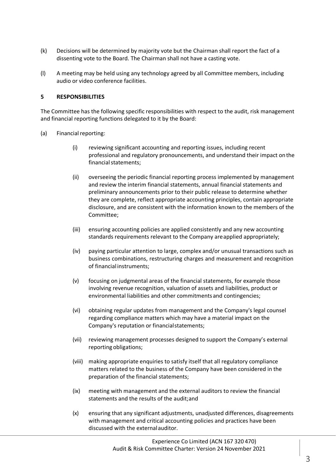- (k) Decisions will be determined by majority vote but the Chairman shall report the fact of a dissenting vote to the Board. The Chairman shall not have a casting vote.
- (l) A meeting may be held using any technology agreed by all Committee members, including audio or video conference facilities.

#### **5 RESPONSIBILITIES**

The Committee has the following specific responsibilities with respect to the audit, risk management and financial reporting functions delegated to it by the Board:

- (a) Financial reporting:
	- (i) reviewing significant accounting and reporting issues, including recent professional and regulatory pronouncements, and understand their impact onthe financial statements;
	- (ii) overseeing the periodic financial reporting process implemented by management and review the interim financial statements, annual financial statements and preliminary announcements prior to their public release to determine whether they are complete, reflect appropriate accounting principles, contain appropriate disclosure, and are consistent with the information known to the members of the Committee;
	- (iii) ensuring accounting policies are applied consistently and any new accounting standards requirements relevant to the Company areapplied appropriately;
	- (iv) paying particular attention to large, complex and/or unusual transactions such as business combinations, restructuring charges and measurement and recognition of financial instruments;
	- (v) focusing on judgmental areas of the financial statements, for example those involving revenue recognition, valuation of assets and liabilities, product or environmental liabilities and other commitments and contingencies;
	- (vi) obtaining regular updates from management and the Company's legal counsel regarding compliance matters which may have a material impact on the Company's reputation or financialstatements;
	- (vii) reviewing management processes designed to support the Company's external reporting obligations;
	- (viii) making appropriate enquiries to satisfy itself that all regulatory compliance matters related to the business of the Company have been considered in the preparation of the financial statements;
	- (ix) meeting with management and the external auditors to review the financial statements and the results of the audit;and
	- (x) ensuring that any significant adjustments, unadjusted differences, disagreements with management and critical accounting policies and practices have been discussed with the externalauditor.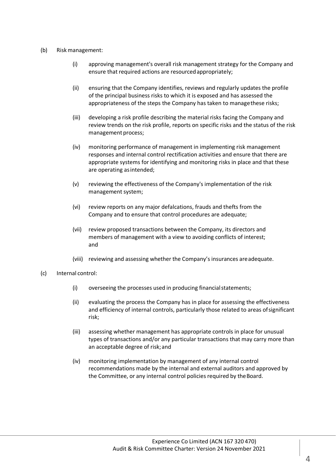#### (b) Riskmanagement:

- (i) approving management's overall risk management strategy for the Company and ensure that required actions are resourcedappropriately;
- (ii) ensuring that the Company identifies, reviews and regularly updates the profile of the principal business risks to which it is exposed and has assessed the appropriateness of the steps the Company has taken to managethese risks;
- (iii) developing a risk profile describing the material risks facing the Company and review trends on the risk profile, reports on specific risks and the status of the risk management process;
- (iv) monitoring performance of management in implementing risk management responses and internal control rectification activities and ensure that there are appropriate systems for identifying and monitoring risks in place and that these are operating asintended;
- (v) reviewing the effectiveness of the Company's implementation of the risk management system;
- (vi) review reports on any major defalcations, frauds and thefts from the Company and to ensure that control procedures are adequate;
- (vii) review proposed transactions between the Company, its directors and members of management with a view to avoiding conflicts of interest; and
- (viii) reviewing and assessing whether the Company's insurances areadequate.
- (c) Internal control:
	- (i) overseeing the processes used in producing financial statements;
	- (ii) evaluating the process the Company has in place for assessing the effectiveness and efficiency of internal controls, particularly those related to areas ofsignificant risk;
	- (iii) assessing whether management has appropriate controls in place for unusual types of transactions and/or any particular transactions that may carry more than an acceptable degree of risk;and
	- (iv) monitoring implementation by management of any internal control recommendations made by the internal and external auditors and approved by the Committee, or any internal control policies required by the Board.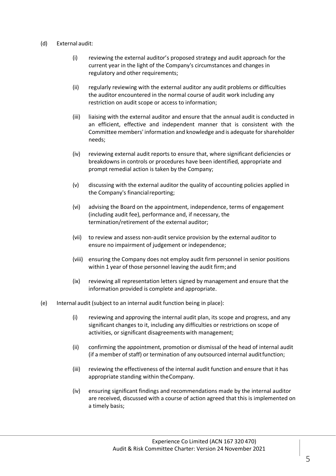#### (d) External audit:

- (i) reviewing the external auditor's proposed strategy and audit approach for the current year in the light of the Company's circumstances and changes in regulatory and other requirements;
- (ii) regularly reviewing with the external auditor any audit problems or difficulties the auditor encountered in the normal course of audit work including any restriction on audit scope or access to information;
- (iii) liaising with the external auditor and ensure that the annual audit is conducted in an efficient, effective and independent manner that is consistent with the Committee members' information and knowledge and is adequate forshareholder needs;
- (iv) reviewing external audit reports to ensure that, where significant deficiencies or breakdowns in controls or procedures have been identified, appropriate and prompt remedial action is taken by the Company;
- (v) discussing with the external auditor the quality of accounting policies applied in the Company's financial reporting;
- (vi) advising the Board on the appointment, independence, terms of engagement (including audit fee), performance and, if necessary, the termination/retirement of the external auditor;
- (vii) to review and assess non-audit service provision by the external auditor to ensure no impairment of judgement or independence;
- (viii) ensuring the Company does not employ audit firm personnel in senior positions within 1 year of those personnel leaving the audit firm;and
- (ix) reviewing all representation letters signed by management and ensure that the information provided is complete and appropriate.
- (e) Internal audit (subject to an internal audit function being in place):
	- (i) reviewing and approving the internal audit plan, its scope and progress, and any significant changes to it, including any difficulties or restrictions on scope of activities, or significant disagreementswith management;
	- (ii) confirming the appointment, promotion or dismissal of the head of internal audit (if a member of staff) or termination of any outsourced internal auditfunction;
	- (iii) reviewing the effectiveness of the internal audit function and ensure that it has appropriate standing within theCompany.
	- (iv) ensuring significant findings and recommendations made by the internal auditor are received, discussed with a course of action agreed that this is implemented on a timely basis;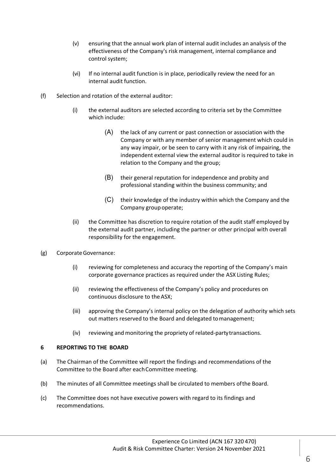- (v) ensuring that the annual work plan of internal audit includes an analysis of the effectiveness of the Company's risk management, internal compliance and control system;
- (vi) If no internal audit function is in place, periodically review the need for an internal audit function.
- (f) Selection and rotation of the external auditor:
	- (i) the external auditors are selected according to criteria set by the Committee which include:
		- (A) the lack of any current or past connection or association with the Company or with any member of senior management which could in any way impair, or be seen to carry with it any risk of impairing, the independent external view the external auditor is required to take in relation to the Company and the group;
		- (B) their general reputation for independence and probity and professional standing within the business community; and
		- (C) their knowledge of the industry within which the Company and the Company group operate;
	- (ii) the Committee has discretion to require rotation of the audit staff employed by the external audit partner, including the partner or other principal with overall responsibility for the engagement.
- (g) CorporateGovernance:
	- (i) reviewing for completeness and accuracy the reporting of the Company's main corporate governance practices as required under the ASX Listing Rules;
	- (ii) reviewing the effectiveness of the Company's policy and procedures on continuous disclosure to the ASX;
	- (iii) approving the Company's internal policy on the delegation of authority which sets out matters reserved to the Board and delegated tomanagement;
	- (iv) reviewing and monitoring the propriety of related-partytransactions.

#### **6 REPORTING TO THE BOARD**

- (a) The Chairman of the Committee will report the findings and recommendations of the Committee to the Board after each Committee meeting.
- (b) The minutes of all Committee meetings shall be circulated to members ofthe Board.
- (c) The Committee does not have executive powers with regard to its findings and recommendations.